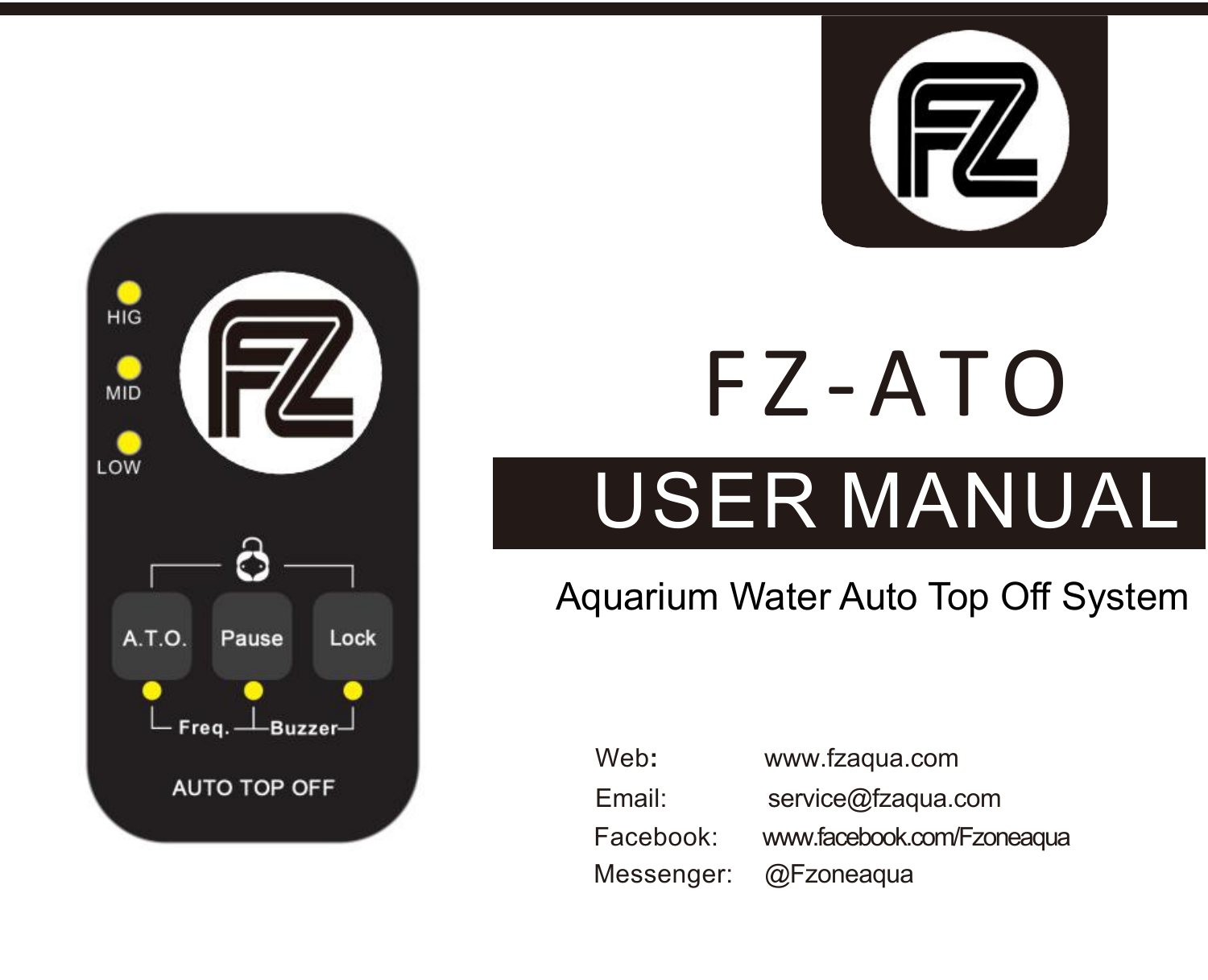

## USER MANUAL F Z -ATO

### Aquarium Water Auto Top Off System

| Web:       | www.fzagua.com             |
|------------|----------------------------|
| Email:     | service@fzaqua.com         |
| Facebook:  | www.facebook.com/Fzoneagua |
| Messenger: | @Fzoneagua                 |

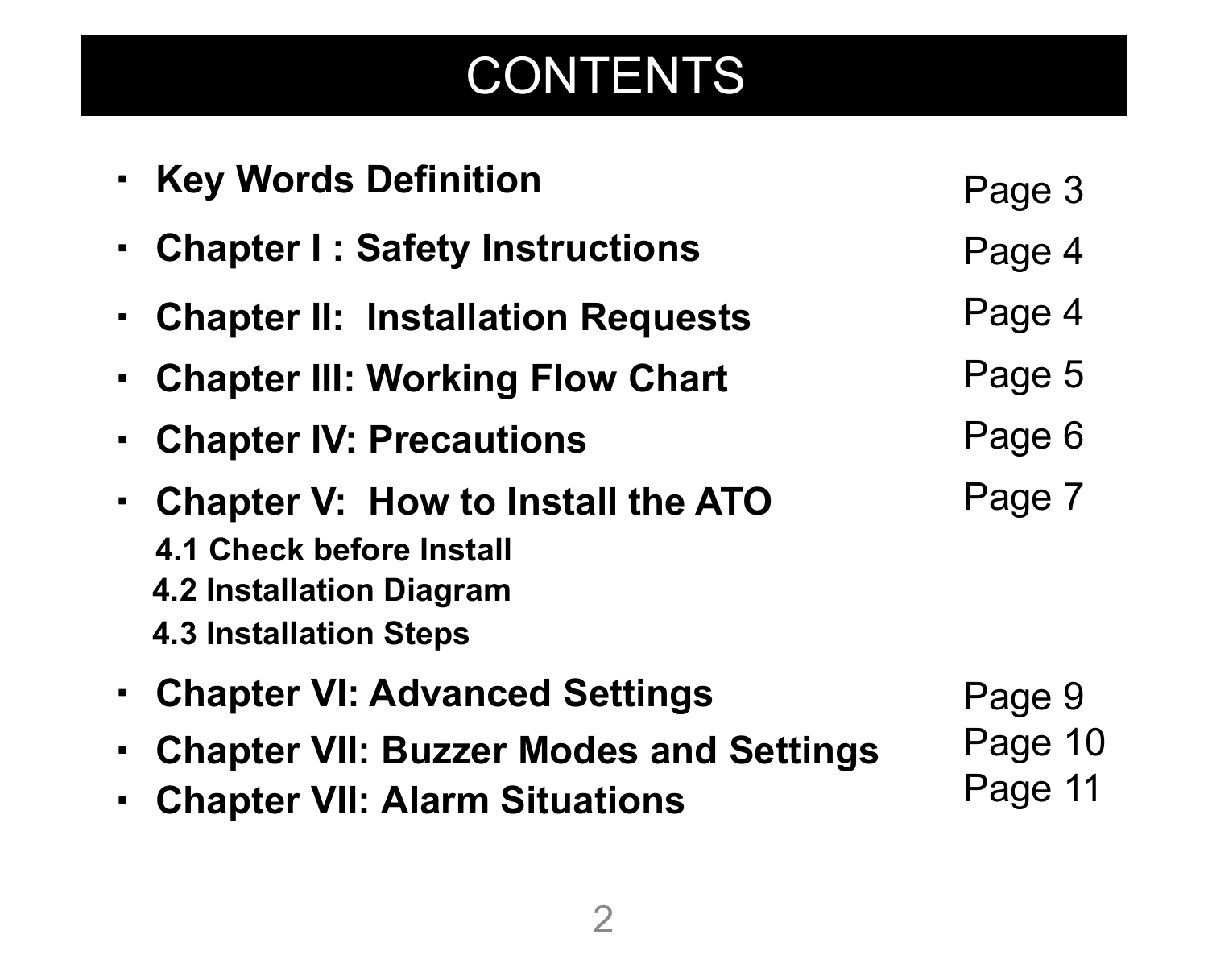### **CONTENTS**

|        | • Key Words Definition                                                                                                            | Page 3                       |
|--------|-----------------------------------------------------------------------------------------------------------------------------------|------------------------------|
|        | • Chapter I: Safety Instructions                                                                                                  | Page 4                       |
|        | • Chapter II: Installation Requests                                                                                               | Page 4                       |
|        | • Chapter III: Working Flow Chart                                                                                                 | Page 5                       |
| ٠      | <b>Chapter IV: Precautions</b>                                                                                                    | Page 6                       |
| ٠      | <b>Chapter V: How to Install the ATO</b><br>4.1 Check before Install<br>4.2 Installation Diagram<br><b>4.3 Installation Steps</b> | Page 7                       |
| ٠<br>٠ | • Chapter VI: Advanced Settings<br><b>Chapter VII: Buzzer Modes and Settings</b><br><b>Chapter VII: Alarm Situations</b>          | Page 9<br>Page 10<br>Page 11 |
|        |                                                                                                                                   |                              |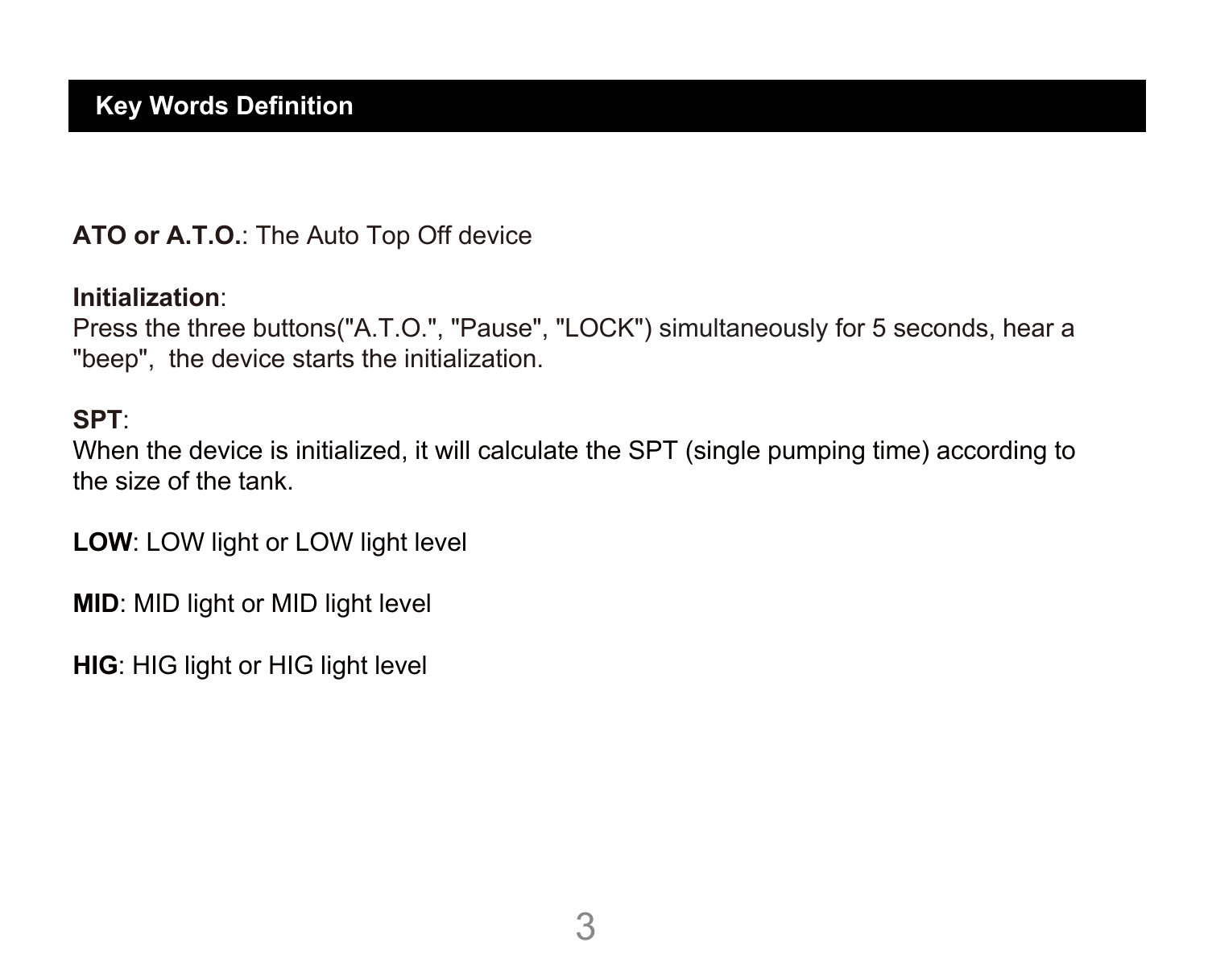#### **ATO or A.T.O.**: The Auto Top Off device

#### **Initialization**:

Press the three buttons("A.T.O.", "Pause", "LOCK") simultaneously for 5 seconds, hear a "beep", the device starts the initialization.

#### **SPT**:

When the device is initialized, it will calculate the SPT (single pumping time) according to the size of the tank.

**LOW**: LOW light or LOW light level

**MID**: MID light or MID light level

**HIG**: HIG light or HIG light level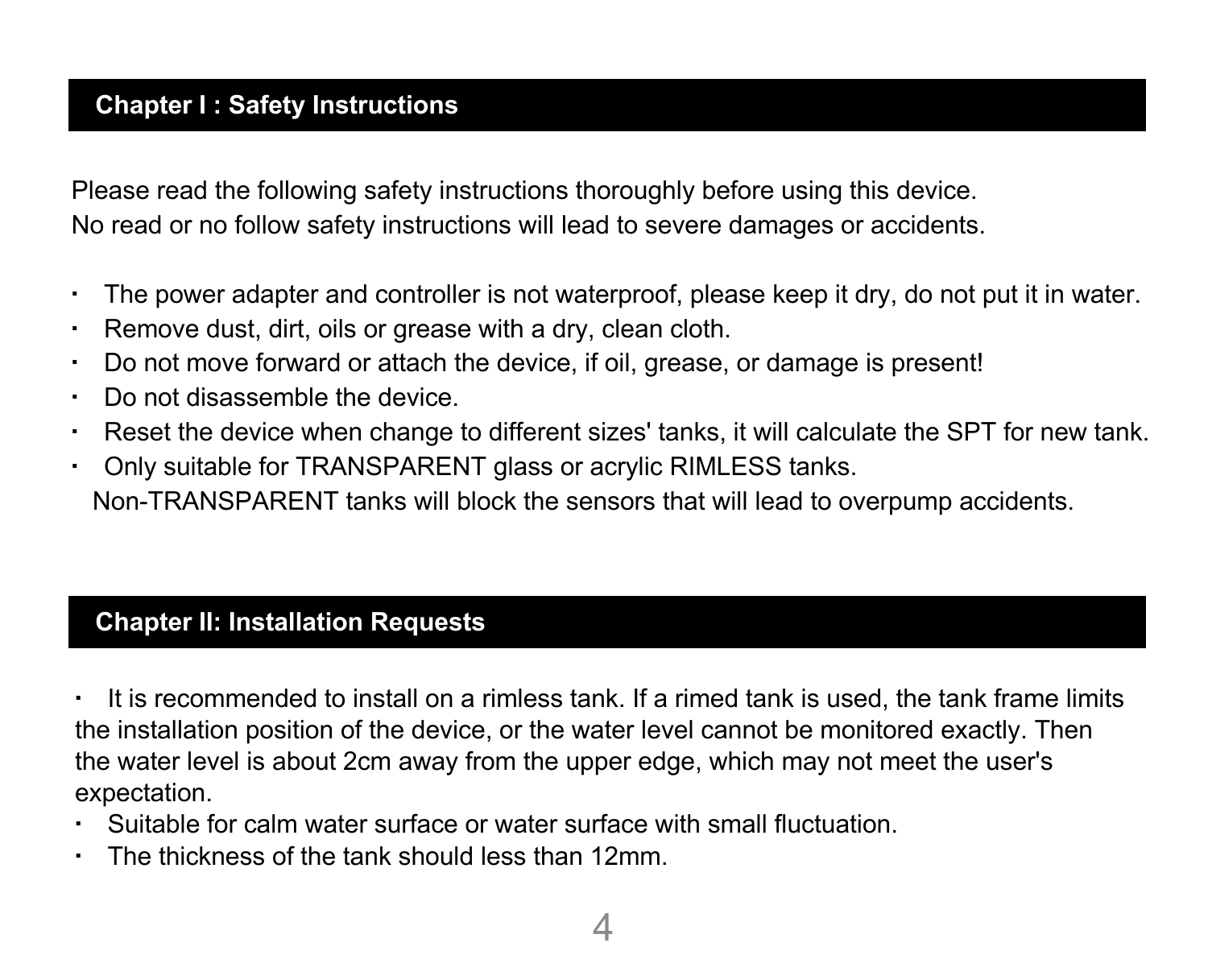#### **Chapter I :Safety Instructions**

Please read the following safety instructions thoroughly before using this device. No read or no follow safety instructions will lead to severe damages or accidents.

- The power adapter and controller is not waterproof, please keep it dry, do not put it in water.
- Remove dust, dirt, oils or grease with a dry, clean cloth.
- Do not move forward or attach the device, if oil, grease, or damage is present!
- Do not disassemble the device.
- Reset the device when change to different sizes' tanks, it will calculate the SPT for new tank.
- Only suitable for TRANSPARENT glass or acrylic RIMLESS tanks. Non-TRANSPARENT tanks will block the sensors that will lead to overpump accidents.

#### **Chapter II: Installation Requests**

▪ It is recommended to install on a rimless tank. If a rimed tank is used, the tank frame limits the installation position of the device, or the water level cannot be monitored exactly. Then the water level is about 2cm away from the upper edge, which may not meet the user's expectation.

- Suitable for calm water surface or water surface with small fluctuation.
- The thickness of the tank should less than 12mm.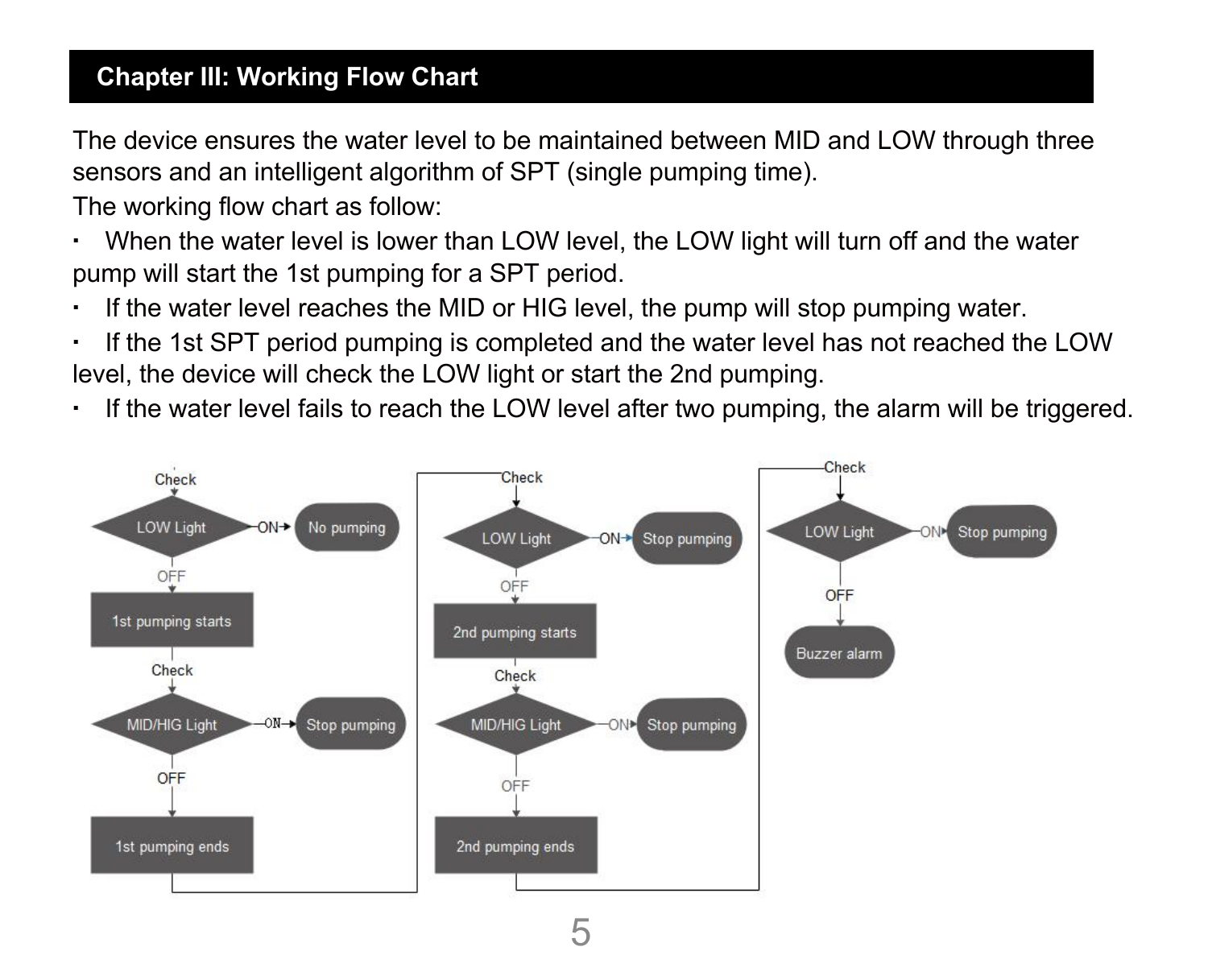#### **Chapter III: Working Flow Chart**

The device ensures the water level to be maintained between MID and LOW through three sensors and an intelligent algorithm of SPT (single pumping time).

The working flow chart as follow:

- When the water level is lower than LOW level, the LOW light will turn off and the water pump will start the 1st pumping for a SPT period.
- If the water level reaches the MID or HIG level, the pump will stop pumping water.
- If the 1st SPT period pumping is completed and the water level has not reached the LOW level, the device will check the LOW light or start the 2nd pumping.
- If the water level fails to reach the LOW level after two pumping, the alarm will be triggered.

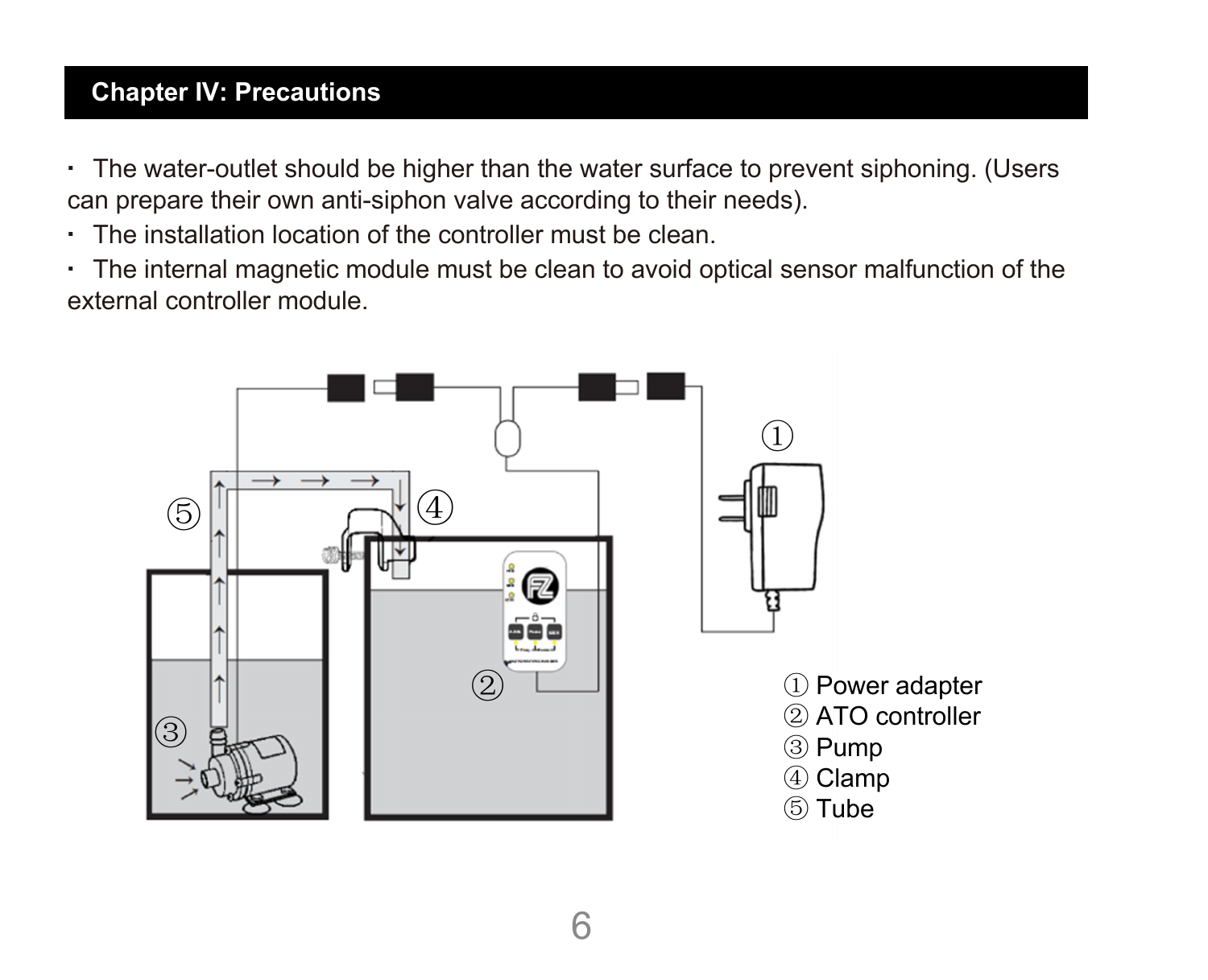#### **Chapter IV: Precautions**

- The water-outlet should be higher than the water surface to prevent siphoning. (Users can prepare their own anti-siphon valve according to their needs).
- The installation location of the controller must be clean.
- The internal magnetic module must be clean to avoid optical sensor malfunction of the external controller module.

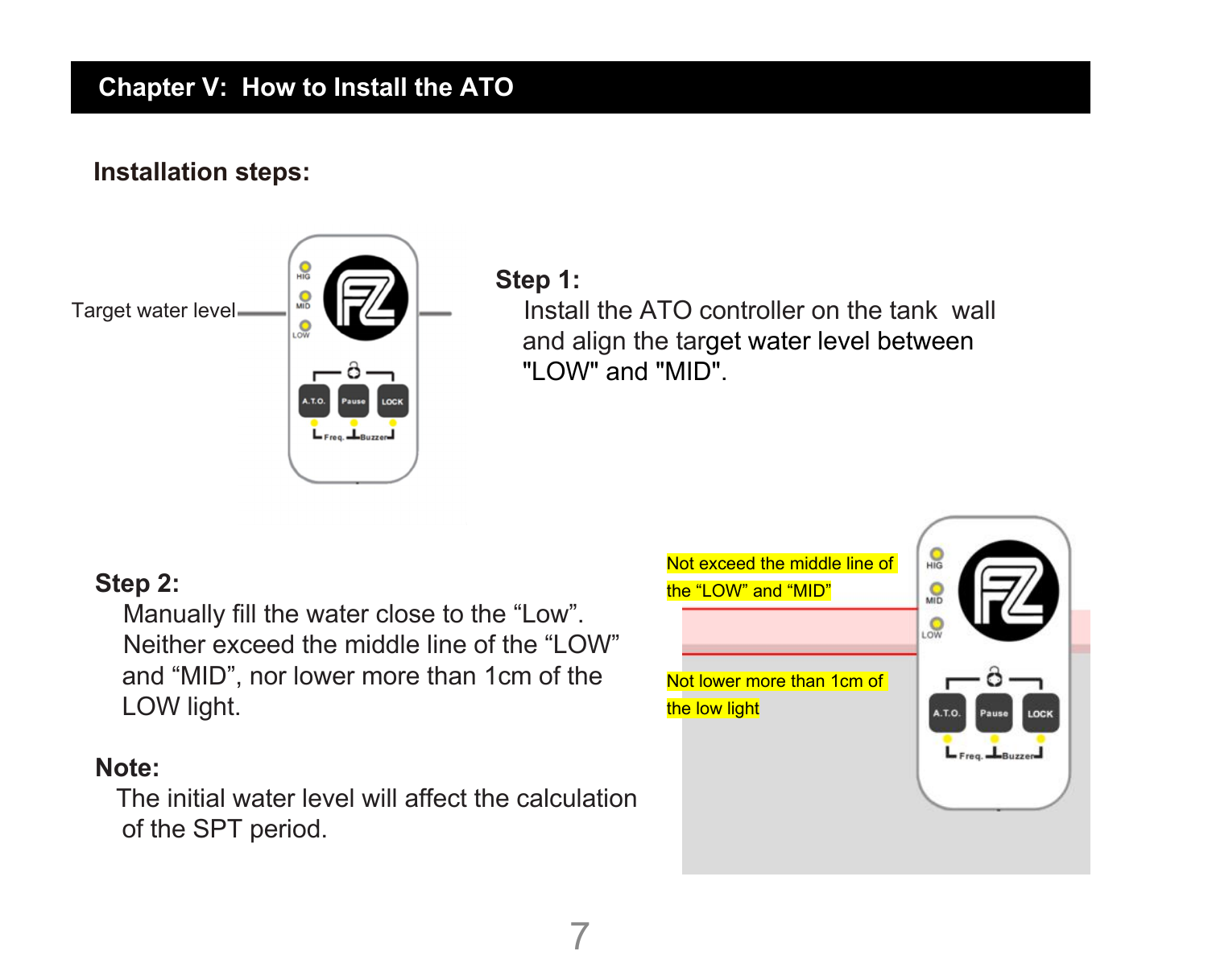# **Installation steps: Chapter V: How to Install the ATO**



#### **Step 1:**

Install the ATO controller on the tank wall and align the target water level between "LOW" and "MID".

#### **Step 2:**

Manually fill the water close to the "Low". Neither exceed the middle line of the "LOW" and "MID", nor lower more than 1cm of the LOW light.

#### **Note:**

The initial water level will affect the calculation of the SPT period.

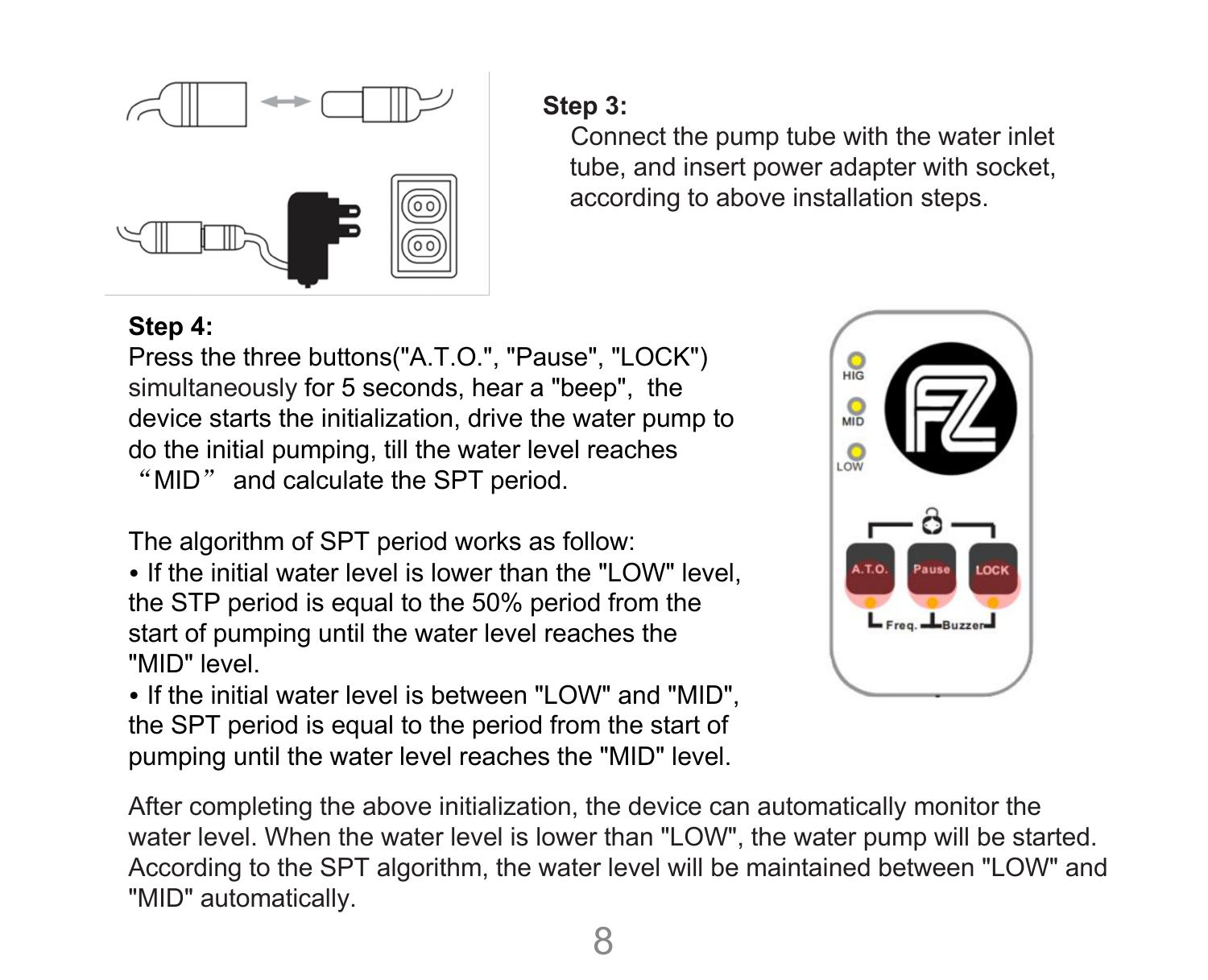

#### **Step 3:**

Connect the pump tube with the water inlet tube, and insert power adapter with socket, according to above installation steps.

#### **Step 4:**

Press the three buttons("A.T.O.", "Pause", "LOCK") simultaneously for 5 seconds, hear a "beep", the<br>device starts the initialization drive the water nump to device starts the initialization, drive the water pump to do the initial pumping, till the water level reaches  $\overline{\mathcal{L}}$ "MID" and calculate the SPT period.

The algorithm of SPT period works as follow:

• If the initial water level is lower than the "LOW" level, the STP period is equal to the 50% period from the  $\frac{1}{2}$ start of pumping until the water level reaches the "MID" level.

• If the initial water level is between "LOW" and "MID", the SPT period is equal to the period from the start of pumping until the water level reaches the "MID" level.



After completing the above initialization, the device can automatically monitor the water level. When the water level is lower than "LOW", the water pump will be started. According to the SPT algorithm, the water level will be maintained between "LOW" and "MID" automatically.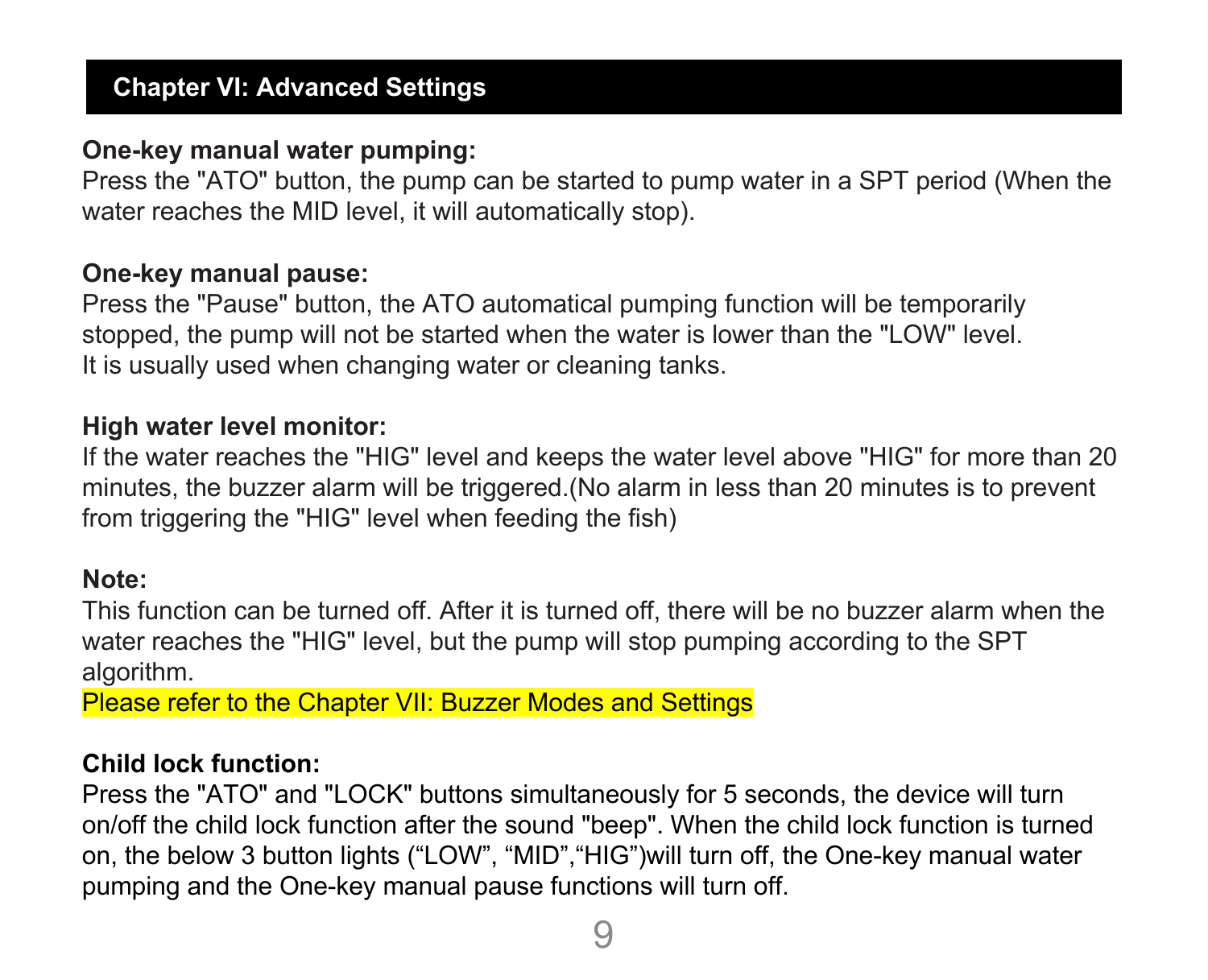#### **One-key manual water pumping:**

Press the "ATO" button, the pump can be started to pump water in a SPT period (When the water reaches the MID level, it will automatically stop).

#### **One-key manual pause:**

Press the "Pause" button, the ATO automatical pumping function will be temporarily stopped, the pump will not be started when the water is lower than the "LOW" level. It is usually used when changing water or cleaning tanks.

#### **High water level monitor:**

If the water reaches the "HIG" level and keeps the water level above "HIG" for more than 20 minutes, the buzzer alarm will be triggered.(No alarm in less than20 minutes is to prevent from triggering the "HIG" level when feeding the fish)

#### **Note:**

This function can be turned off. After it is turned off, there will be no buzzer alarm when the water reaches the "HIG" level, but the pump will stop pumping according to the SPT algorithm.

Please refer to the Chapter VII: Buzzer Modes and Settings

#### **Child lock function:**

Press the "ATO" and "LOCK" buttons simultaneously for 5 seconds, the device will turn on/off the child lock function after the sound "beep". When the child lock function isturned on, the below 3 button lights ("LOW", "MID","HIG")will turn off, the One-key manual water pumping and the One-key manual pause functions will turn off.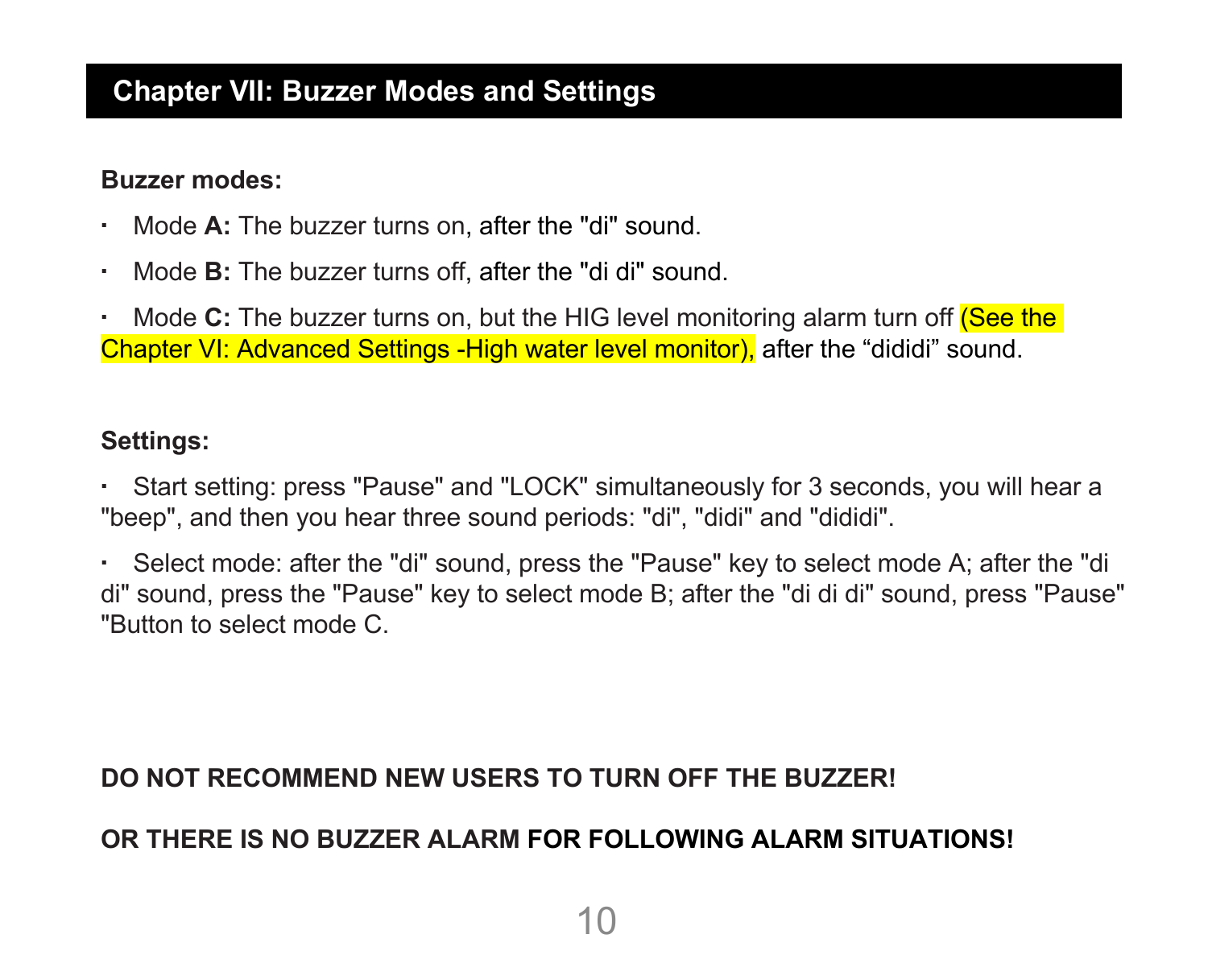#### **Chapter VII: Buzzer Modes and Settings**

#### **Buzzer modes:**

- Mode **A:** The buzzer turns on, after the "di" sound.
- Mode **B:** The buzzer turns off, after the "di di" sound.

**• Mode C:** The buzzer turns on, but the HIG level monitoring alarm turn off (See the Chapter VI: Advanced Settings -High water level monitor), after the "dididi" sound.

#### **Settings:**

▪ Start setting: press "Pause" and "LOCK" simultaneously for 3 seconds, you will hear a "beep", and then you hear three sound periods: "di", "didi" and "dididi".

▪ Select mode: after the "di" sound, press the "Pause"key to select mode A; after the "di di" sound, press the "Pause" key to select mode B; after the "di di di" sound, press "Pause" "Button to select mode C.

#### **DO NOT RECOMMEND NEW USERS TO TURN OFF THE BUZZER!**

#### **OR THERE IS NO BUZZER ALARM FOR FOLLOWING ALARM SITUATIONS!**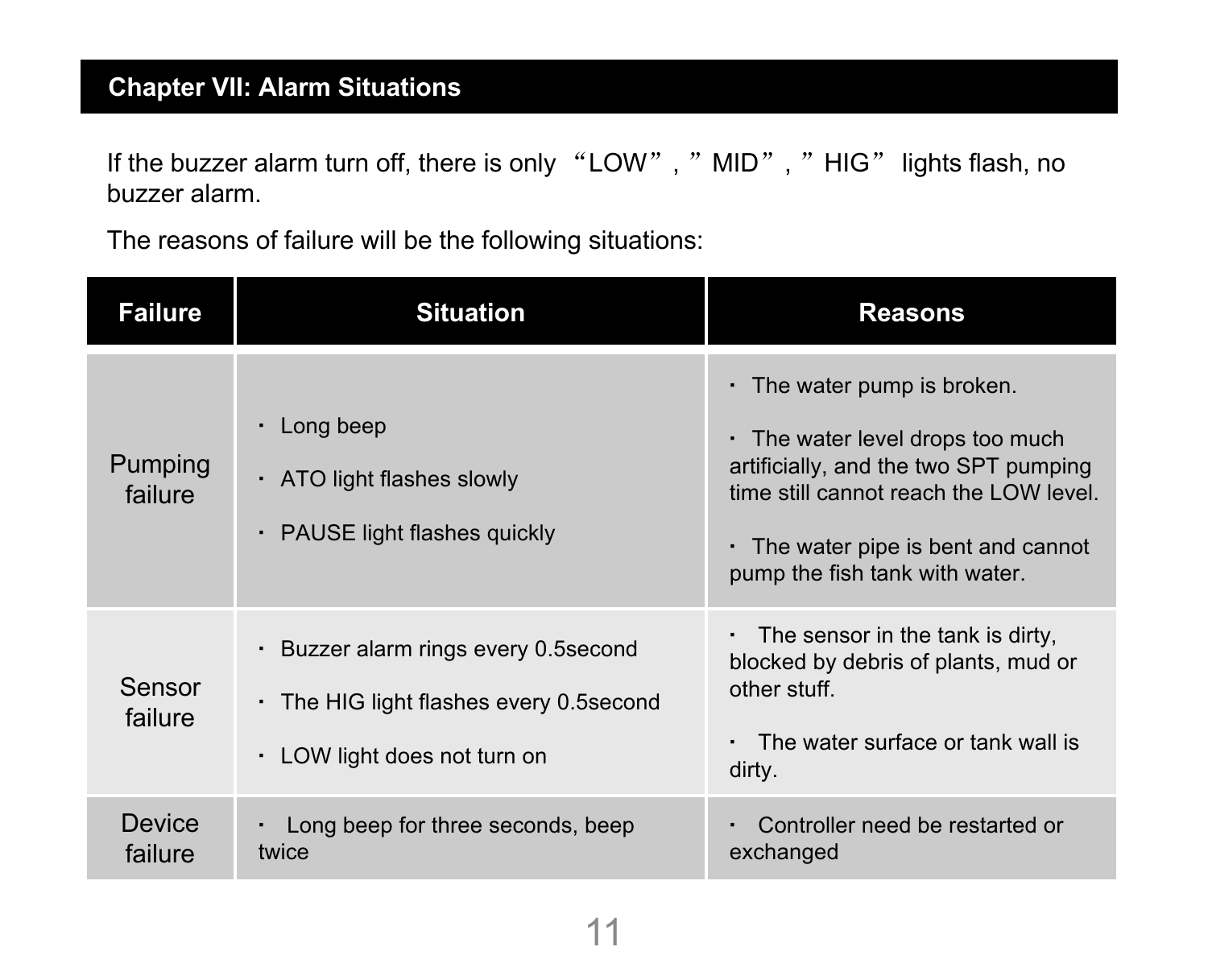#### **Chapter VII: Alarm Situations**

If the buzzer alarm turn off, there is only "LOW", " MID", " HIG" lights flash, no buzzer alarm.

The reasons of failure will be the following situations:

| <b>Failure</b>     | <b>Situation</b>                                                                                                  | <b>Reasons</b>                                                                                                                                                                                                                          |
|--------------------|-------------------------------------------------------------------------------------------------------------------|-----------------------------------------------------------------------------------------------------------------------------------------------------------------------------------------------------------------------------------------|
| Pumping<br>failure | Long beep<br>· ATO light flashes slowly<br>PAUSE light flashes quickly<br>٠                                       | $\cdot$ The water pump is broken.<br>. The water level drops too much<br>artificially, and the two SPT pumping<br>time still cannot reach the LOW level.<br>$\cdot$ The water pipe is bent and cannot<br>pump the fish tank with water. |
| Sensor<br>failure  | · Buzzer alarm rings every 0.5 second<br>• The HIG light flashes every 0.5 second<br>· LOW light does not turn on | $\cdot$ The sensor in the tank is dirty,<br>blocked by debris of plants, mud or<br>other stuff.<br>The water surface or tank wall is<br>dirty.                                                                                          |
| Device<br>failure  | Long beep for three seconds, beep<br>۰.<br>twice                                                                  | Controller need be restarted or<br>exchanged                                                                                                                                                                                            |